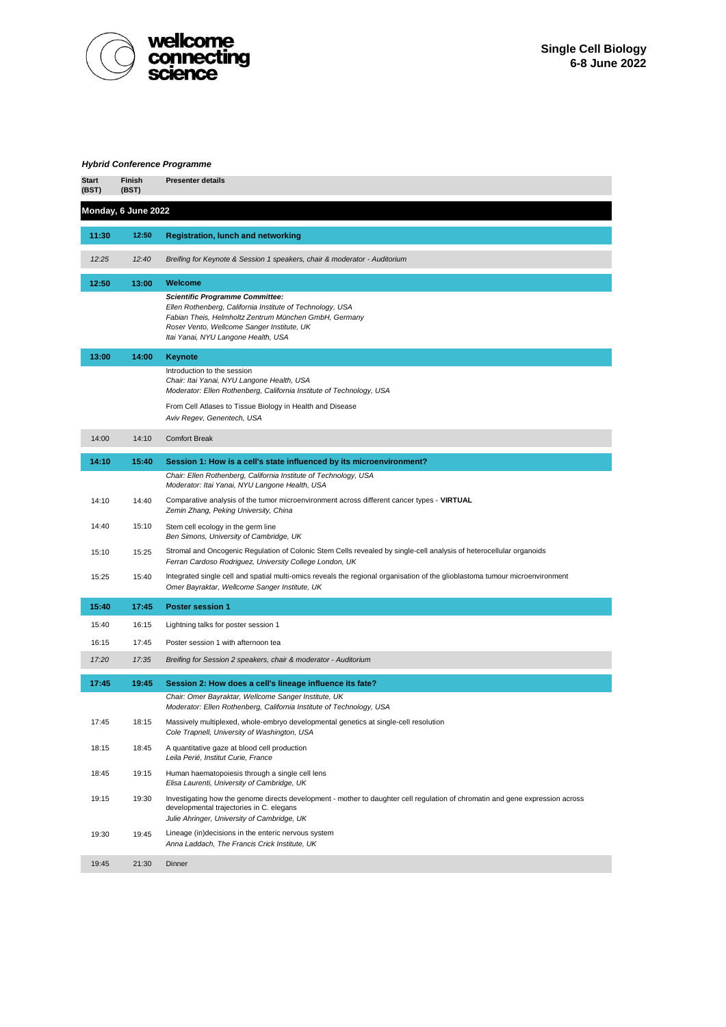

## *Hybrid Conference Programme*

| <b>Start</b><br>(BST) | Finish<br>(BST) | <b>Presenter details</b>                                                                                                                                                                                                                          |  |  |  |  |
|-----------------------|-----------------|---------------------------------------------------------------------------------------------------------------------------------------------------------------------------------------------------------------------------------------------------|--|--|--|--|
| Monday, 6 June 2022   |                 |                                                                                                                                                                                                                                                   |  |  |  |  |
| 11:30                 | 12:50           | <b>Registration, lunch and networking</b>                                                                                                                                                                                                         |  |  |  |  |
| 12:25                 | 12:40           | Breifing for Keynote & Session 1 speakers, chair & moderator - Auditorium                                                                                                                                                                         |  |  |  |  |
| 12:50                 | 13:00           | Welcome                                                                                                                                                                                                                                           |  |  |  |  |
|                       |                 | <b>Scientific Programme Committee:</b><br>Ellen Rothenberg, California Institute of Technology, USA<br>Fabian Theis, Helmholtz Zentrum München GmbH, Germany<br>Roser Vento, Wellcome Sanger Institute, UK<br>Itai Yanai, NYU Langone Health, USA |  |  |  |  |
| 13:00                 | 14:00           | Keynote                                                                                                                                                                                                                                           |  |  |  |  |
|                       |                 | Introduction to the session<br>Chair: Itai Yanai, NYU Langone Health, USA<br>Moderator: Ellen Rothenberg, California Institute of Technology, USA                                                                                                 |  |  |  |  |
|                       |                 | From Cell Atlases to Tissue Biology in Health and Disease<br>Aviv Regev, Genentech, USA                                                                                                                                                           |  |  |  |  |
| 14:00                 | 14:10           | <b>Comfort Break</b>                                                                                                                                                                                                                              |  |  |  |  |
| 14:10                 | 15:40           | Session 1: How is a cell's state influenced by its microenvironment?                                                                                                                                                                              |  |  |  |  |
|                       |                 | Chair: Ellen Rothenberg, California Institute of Technology, USA<br>Moderator: Itai Yanai, NYU Langone Health, USA                                                                                                                                |  |  |  |  |
| 14:10                 | 14:40           | Comparative analysis of the tumor microenvironment across different cancer types - VIRTUAL<br>Zemin Zhang, Peking University, China                                                                                                               |  |  |  |  |
| 14:40                 | 15:10           | Stem cell ecology in the germ line<br>Ben Simons, University of Cambridge, UK                                                                                                                                                                     |  |  |  |  |
| 15:10                 | 15:25           | Stromal and Oncogenic Regulation of Colonic Stem Cells revealed by single-cell analysis of heterocellular organoids<br>Ferran Cardoso Rodriguez, University College London, UK                                                                    |  |  |  |  |
| 15:25                 | 15:40           | Integrated single cell and spatial multi-omics reveals the regional organisation of the glioblastoma tumour microenvironment<br>Omer Bayraktar, Wellcome Sanger Institute, UK                                                                     |  |  |  |  |
| 15:40                 | 17:45           | <b>Poster session 1</b>                                                                                                                                                                                                                           |  |  |  |  |
| 15:40                 | 16:15           | Lightning talks for poster session 1                                                                                                                                                                                                              |  |  |  |  |
| 16:15                 | 17:45           | Poster session 1 with afternoon tea                                                                                                                                                                                                               |  |  |  |  |
| 17:20                 | 17:35           | Breifing for Session 2 speakers, chair & moderator - Auditorium                                                                                                                                                                                   |  |  |  |  |
| 17:45                 | 19:45           | Session 2: How does a cell's lineage influence its fate?                                                                                                                                                                                          |  |  |  |  |
|                       |                 | Chair: Omer Bayraktar, Wellcome Sanger Institute, UK<br>Moderator: Ellen Rothenberg, California Institute of Technology, USA                                                                                                                      |  |  |  |  |
| 17:45                 | 18:15           | Massively multiplexed, whole-embryo developmental genetics at single-cell resolution<br>Cole Trapnell, University of Washington, USA                                                                                                              |  |  |  |  |
| 18:15                 | 18:45           | A quantitative gaze at blood cell production<br>Leila Perié, Institut Curie, France                                                                                                                                                               |  |  |  |  |
| 18:45                 | 19:15           | Human haematopoiesis through a single cell lens<br>Elisa Laurenti, University of Cambridge, UK                                                                                                                                                    |  |  |  |  |
| 19:15                 | 19:30           | Investigating how the genome directs development - mother to daughter cell regulation of chromatin and gene expression across<br>developmental trajectories in C. elegans<br>Julie Ahringer, University of Cambridge, UK                          |  |  |  |  |
| 19:30                 | 19:45           | Lineage (in)decisions in the enteric nervous system<br>Anna Laddach, The Francis Crick Institute, UK                                                                                                                                              |  |  |  |  |
| 19:45                 | 21:30           | Dinner                                                                                                                                                                                                                                            |  |  |  |  |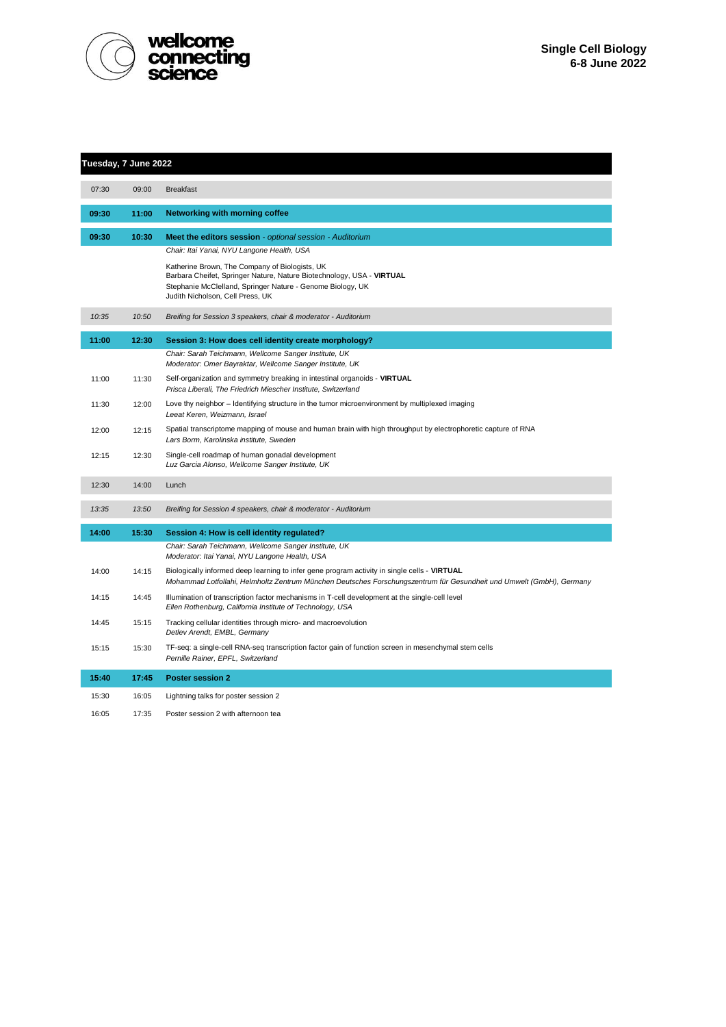

| Tuesday, 7 June 2022 |       |                                                                                                                                                                                                                           |  |  |
|----------------------|-------|---------------------------------------------------------------------------------------------------------------------------------------------------------------------------------------------------------------------------|--|--|
| 07:30                | 09:00 | <b>Breakfast</b>                                                                                                                                                                                                          |  |  |
| 09:30                | 11:00 | <b>Networking with morning coffee</b>                                                                                                                                                                                     |  |  |
| 09:30                | 10:30 | Meet the editors session - optional session - Auditorium<br>Chair: Itai Yanai, NYU Langone Health, USA                                                                                                                    |  |  |
|                      |       | Katherine Brown, The Company of Biologists, UK<br>Barbara Cheifet, Springer Nature, Nature Biotechnology, USA - VIRTUAL<br>Stephanie McClelland, Springer Nature - Genome Biology, UK<br>Judith Nicholson, Cell Press, UK |  |  |
| 10:35                | 10:50 | Breifing for Session 3 speakers, chair & moderator - Auditorium                                                                                                                                                           |  |  |
| 11:00                | 12:30 | Session 3: How does cell identity create morphology?                                                                                                                                                                      |  |  |
|                      |       | Chair: Sarah Teichmann, Wellcome Sanger Institute, UK<br>Moderator: Omer Bayraktar, Wellcome Sanger Institute, UK                                                                                                         |  |  |
| 11:00                | 11:30 | Self-organization and symmetry breaking in intestinal organoids - VIRTUAL<br>Prisca Liberali, The Friedrich Miescher Institute, Switzerland                                                                               |  |  |
| 11:30                | 12:00 | Love thy neighbor - Identifying structure in the tumor microenvironment by multiplexed imaging<br>Leeat Keren, Weizmann, Israel                                                                                           |  |  |
| 12:00                | 12:15 | Spatial transcriptome mapping of mouse and human brain with high throughput by electrophoretic capture of RNA<br>Lars Borm, Karolinska institute, Sweden                                                                  |  |  |
| 12:15                | 12:30 | Single-cell roadmap of human gonadal development<br>Luz Garcia Alonso, Wellcome Sanger Institute, UK                                                                                                                      |  |  |
| 12:30                | 14:00 | Lunch                                                                                                                                                                                                                     |  |  |
| 13:35                | 13:50 | Breifing for Session 4 speakers, chair & moderator - Auditorium                                                                                                                                                           |  |  |
| 14:00                | 15:30 | Session 4: How is cell identity regulated?                                                                                                                                                                                |  |  |
|                      |       | Chair: Sarah Teichmann, Wellcome Sanger Institute, UK<br>Moderator: Itai Yanai, NYU Langone Health, USA                                                                                                                   |  |  |
| 14:00                | 14:15 | Biologically informed deep learning to infer gene program activity in single cells - VIRTUAL<br>Mohammad Lotfollahi, Helmholtz Zentrum München Deutsches Forschungszentrum für Gesundheit und Umwelt (GmbH), Germany      |  |  |
| 14:15                | 14:45 | Illumination of transcription factor mechanisms in T-cell development at the single-cell level<br>Ellen Rothenburg, California Institute of Technology, USA                                                               |  |  |
| 14:45                | 15:15 | Tracking cellular identities through micro- and macroevolution<br>Detlev Arendt, EMBL, Germany                                                                                                                            |  |  |
| 15:15                | 15:30 | TF-seq: a single-cell RNA-seq transcription factor gain of function screen in mesenchymal stem cells<br>Pernille Rainer, EPFL, Switzerland                                                                                |  |  |
| 15:40                | 17:45 | <b>Poster session 2</b>                                                                                                                                                                                                   |  |  |
| 15:30                | 16:05 | Lightning talks for poster session 2                                                                                                                                                                                      |  |  |
| 16:05                | 17:35 | Poster session 2 with afternoon tea                                                                                                                                                                                       |  |  |